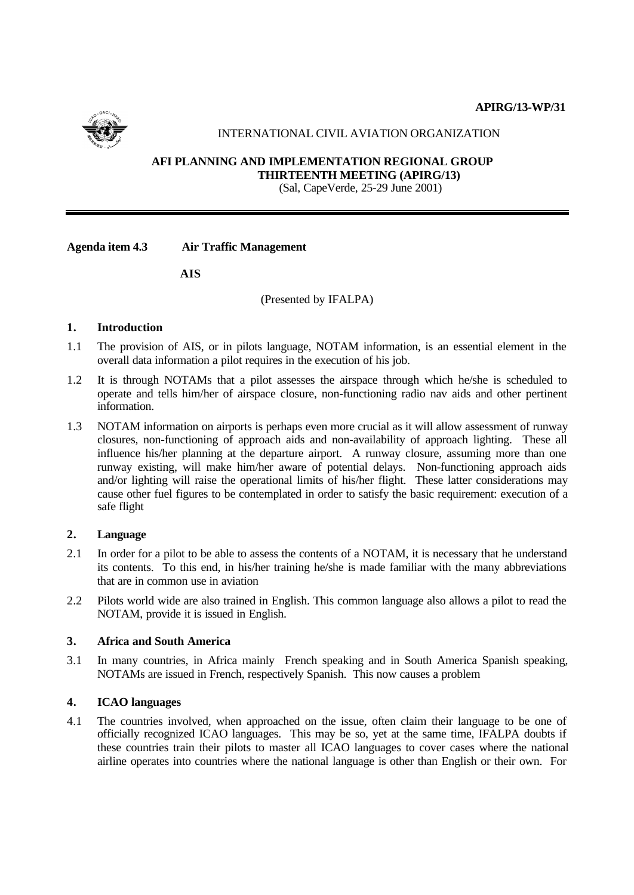

# INTERNATIONAL CIVIL AVIATION ORGANIZATION

#### **AFI PLANNING AND IMPLEMENTATION REGIONAL GROUP THIRTEENTH MEETING (APIRG/13)** (Sal, CapeVerde, 25-29 June 2001)

**Agenda item 4.3 Air Traffic Management**

**AIS**

(Presented by IFALPA)

## **1. Introduction**

- 1.1 The provision of AIS, or in pilots language, NOTAM information, is an essential element in the overall data information a pilot requires in the execution of his job.
- 1.2 It is through NOTAMs that a pilot assesses the airspace through which he/she is scheduled to operate and tells him/her of airspace closure, non-functioning radio nav aids and other pertinent information.
- 1.3 NOTAM information on airports is perhaps even more crucial as it will allow assessment of runway closures, non-functioning of approach aids and non-availability of approach lighting. These all influence his/her planning at the departure airport. A runway closure, assuming more than one runway existing, will make him/her aware of potential delays. Non-functioning approach aids and/or lighting will raise the operational limits of his/her flight. These latter considerations may cause other fuel figures to be contemplated in order to satisfy the basic requirement: execution of a safe flight

### **2. Language**

- 2.1 In order for a pilot to be able to assess the contents of a NOTAM, it is necessary that he understand its contents. To this end, in his/her training he/she is made familiar with the many abbreviations that are in common use in aviation
- 2.2 Pilots world wide are also trained in English. This common language also allows a pilot to read the NOTAM, provide it is issued in English.

#### **3. Africa and South America**

3.1 In many countries, in Africa mainly French speaking and in South America Spanish speaking, NOTAMs are issued in French, respectively Spanish. This now causes a problem

### **4. ICAO languages**

4.1 The countries involved, when approached on the issue, often claim their language to be one of officially recognized ICAO languages. This may be so, yet at the same time, IFALPA doubts if these countries train their pilots to master all ICAO languages to cover cases where the national airline operates into countries where the national language is other than English or their own. For